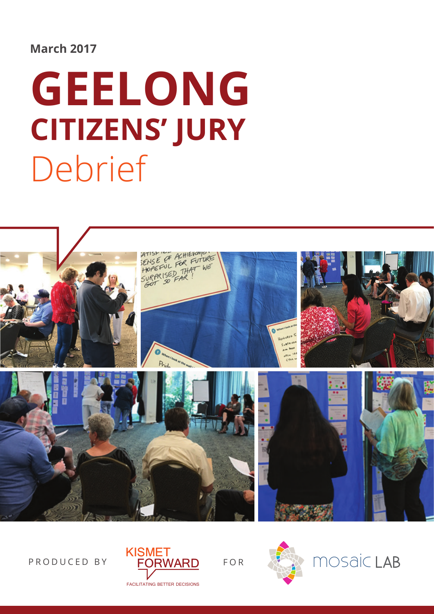#### **March 2017**

# **Geelong Citizens' Jury** Debrief







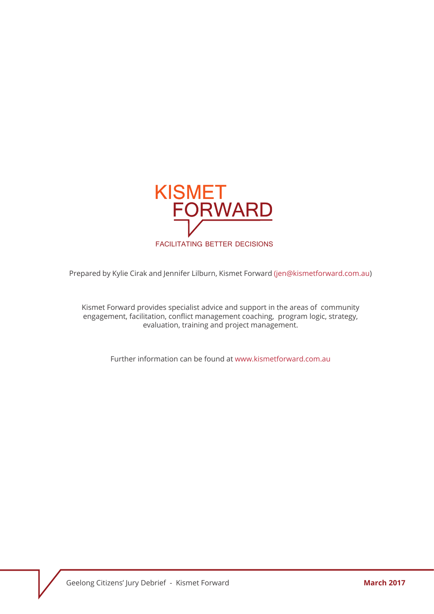

Prepared by Kylie Cirak and Jennifer Lilburn, Kismet Forward (jen@kismetforward.com.au)

Kismet Forward provides specialist advice and support in the areas of community engagement, facilitation, conflict management coaching, program logic, strategy, evaluation, training and project management.

Further information can be found at www.kismetforward.com.au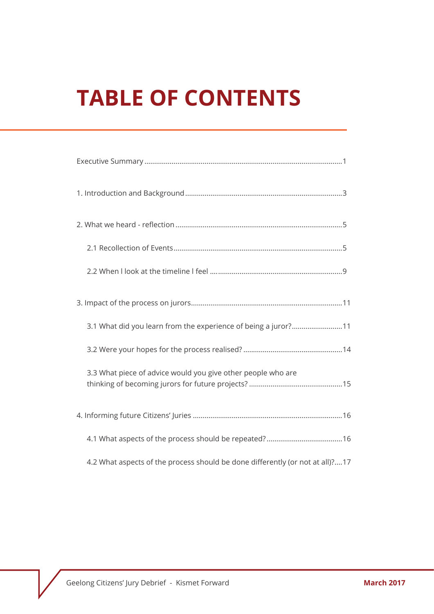# **Table of Contents**

| 3.1 What did you learn from the experience of being a juror?11                |
|-------------------------------------------------------------------------------|
|                                                                               |
| 3.3 What piece of advice would you give other people who are                  |
|                                                                               |
|                                                                               |
| 4.2 What aspects of the process should be done differently (or not at all)?17 |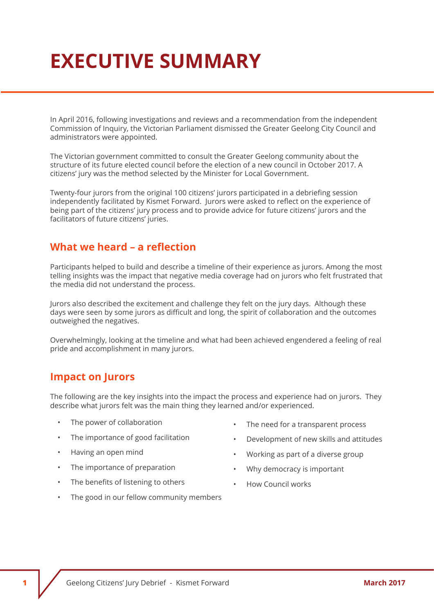# **Executive Summary**

In April 2016, following investigations and reviews and a recommendation from the independent Commission of Inquiry, the Victorian Parliament dismissed the Greater Geelong City Council and administrators were appointed.

The Victorian government committed to consult the Greater Geelong community about the structure of its future elected council before the election of a new council in October 2017. A citizens' jury was the method selected by the Minister for Local Government.

Twenty-four jurors from the original 100 citizens' jurors participated in a debriefing session independently facilitated by Kismet Forward. Jurors were asked to reflect on the experience of being part of the citizens' jury process and to provide advice for future citizens' jurors and the facilitators of future citizens' juries.

#### **What we heard – a reflection**

Participants helped to build and describe a timeline of their experience as jurors. Among the most telling insights was the impact that negative media coverage had on jurors who felt frustrated that the media did not understand the process.

Jurors also described the excitement and challenge they felt on the jury days. Although these days were seen by some jurors as difficult and long, the spirit of collaboration and the outcomes outweighed the negatives.

Overwhelmingly, looking at the timeline and what had been achieved engendered a feeling of real pride and accomplishment in many jurors.

#### **Impact on Jurors**

The following are the key insights into the impact the process and experience had on jurors. They describe what jurors felt was the main thing they learned and/or experienced.

- The power of collaboration
- The importance of good facilitation
- Having an open mind
- The importance of preparation
- The benefits of listening to others
- The good in our fellow community members
- The need for a transparent process
- Development of new skills and attitudes
- Working as part of a diverse group
- Why democracy is important
- How Council works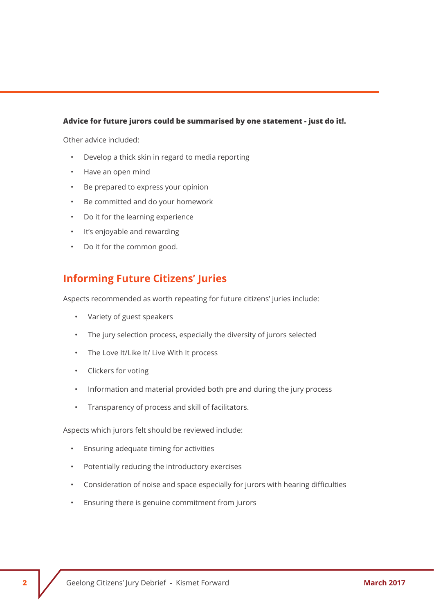#### **Advice for future jurors could be summarised by one statement - just do it!.**

Other advice included:

- Develop a thick skin in regard to media reporting
- Have an open mind
- Be prepared to express your opinion
- Be committed and do your homework
- Do it for the learning experience
- It's enjoyable and rewarding
- Do it for the common good.

#### **Informing Future Citizens' Juries**

Aspects recommended as worth repeating for future citizens' juries include:

- Variety of guest speakers
- The jury selection process, especially the diversity of jurors selected
- The Love It/Like It/ Live With It process
- Clickers for voting
- Information and material provided both pre and during the jury process
- Transparency of process and skill of facilitators.

Aspects which jurors felt should be reviewed include:

- Ensuring adequate timing for activities
- Potentially reducing the introductory exercises
- Consideration of noise and space especially for jurors with hearing difficulties
- Ensuring there is genuine commitment from jurors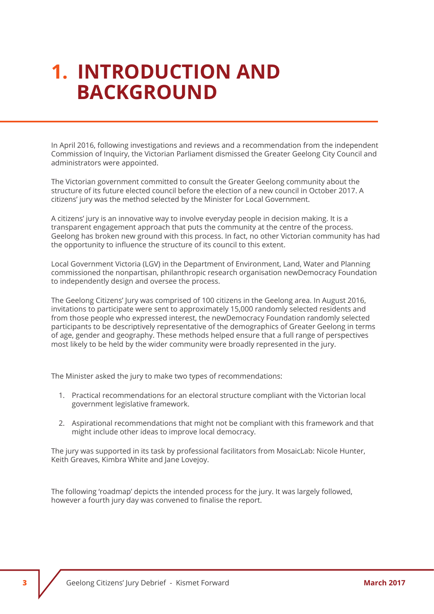### **1. Introduction and Background**

In April 2016, following investigations and reviews and a recommendation from the independent Commission of Inquiry, the Victorian Parliament dismissed the Greater Geelong City Council and administrators were appointed.

The Victorian government committed to consult the Greater Geelong community about the structure of its future elected council before the election of a new council in October 2017. A citizens' jury was the method selected by the Minister for Local Government.

A citizens' jury is an innovative way to involve everyday people in decision making. It is a transparent engagement approach that puts the community at the centre of the process. Geelong has broken new ground with this process. In fact, no other Victorian community has had the opportunity to influence the structure of its council to this extent.

Local Government Victoria (LGV) in the Department of Environment, Land, Water and Planning commissioned the nonpartisan, philanthropic research organisation newDemocracy Foundation to independently design and oversee the process.

The Geelong Citizens' Jury was comprised of 100 citizens in the Geelong area. In August 2016, invitations to participate were sent to approximately 15,000 randomly selected residents and from those people who expressed interest, the newDemocracy Foundation randomly selected participants to be descriptively representative of the demographics of Greater Geelong in terms of age, gender and geography. These methods helped ensure that a full range of perspectives most likely to be held by the wider community were broadly represented in the jury.

The Minister asked the jury to make two types of recommendations:

- 1. Practical recommendations for an electoral structure compliant with the Victorian local government legislative framework.
- 2. Aspirational recommendations that might not be compliant with this framework and that might include other ideas to improve local democracy.

The jury was supported in its task by professional facilitators from MosaicLab: Nicole Hunter, Keith Greaves, Kimbra White and Jane Lovejoy.

The following 'roadmap' depicts the intended process for the jury. It was largely followed, however a fourth jury day was convened to finalise the report.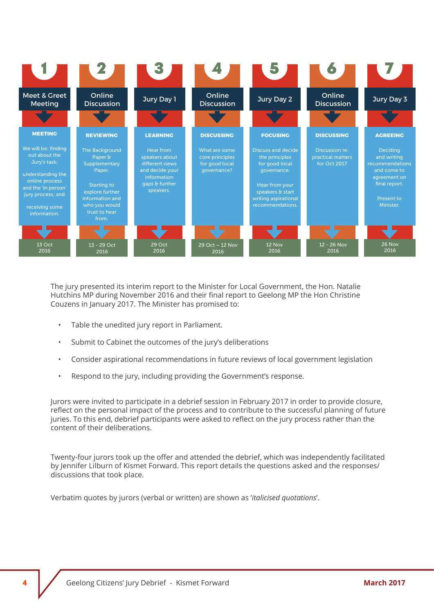

The jury presented its interim report to the Minister for Local Government, the Hon. Natalie Hutchins MP during November 2016 and their final report to Geelong MP the Hon Christine Couzens in January 2017. The Minister has promised to:

- Table the unedited jury report in Parliament.
- Submit to Cabinet the outcomes of the jury's deliberations
- Consider aspirational recommendations in future reviews of local government legislation
- Respond to the jury, including providing the Government's response.

Jurors were invited to participate in a debrief session in February 2017 in order to provide closure, reflect on the personal impact of the process and to contribute to the successful planning of future juries. To this end, debrief participants were asked to reflect on the jury process rather than the content of their deliberations.

Twenty-four jurors took up the offer and attended the debrief, which was independently facilitated by Jennifer Lilburn of Kismet Forward. This report details the questions asked and the responses/ discussions that took place.

Verbatim quotes by jurors (verbal or written) are shown as '*italicised quotations*'.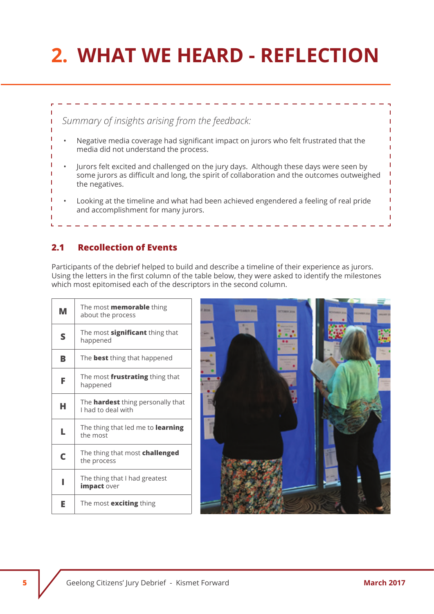# **2. What We Heard - reflection**



#### **2.1 Recollection of Events**

Participants of the debrief helped to build and describe a timeline of their experience as jurors. Using the letters in the first column of the table below, they were asked to identify the milestones which most epitomised each of the descriptors in the second column.

| м | The most <b>memorable</b> thing<br>about the process           |
|---|----------------------------------------------------------------|
| S | The most <b>significant</b> thing that<br>happened             |
| B | The <b>best</b> thing that happened                            |
| F | The most <b>frustrating</b> thing that<br>happened             |
| н | The <b>hardest</b> thing personally that<br>I had to deal with |
| L | The thing that led me to <b>learning</b><br>the most           |
| C | The thing that most challenged<br>the process                  |
| ı | The thing that I had greatest<br>impact over                   |
| Е | The most <b>exciting</b> thing                                 |

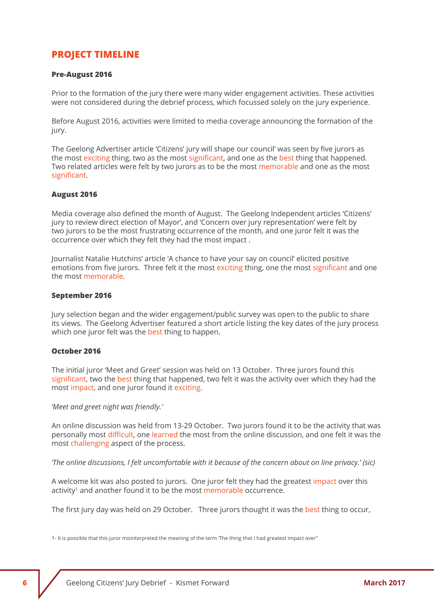#### **Project Timeline**

#### **Pre-August 2016**

Prior to the formation of the jury there were many wider engagement activities. These activities were not considered during the debrief process, which focussed solely on the jury experience.

Before August 2016, activities were limited to media coverage announcing the formation of the jury.

The Geelong Advertiser article 'Citizens' jury will shape our council' was seen by five jurors as the most exciting thing, two as the most significant, and one as the best thing that happened. Two related articles were felt by two jurors as to be the most memorable and one as the most significant.

#### **August 2016**

Media coverage also defined the month of August. The Geelong Independent articles 'Citizens' jury to review direct election of Mayor', and 'Concern over jury representation' were felt by two jurors to be the most frustrating occurrence of the month, and one juror felt it was the occurrence over which they felt they had the most impact .

Journalist Natalie Hutchins' article 'A chance to have your say on council' elicited positive emotions from five jurors. Three felt it the most exciting thing, one the most significant and one the most memorable.

#### **September 2016**

Jury selection began and the wider engagement/public survey was open to the public to share its views. The Geelong Advertiser featured a short article listing the key dates of the jury process which one juror felt was the best thing to happen.

#### **October 2016**

The initial juror 'Meet and Greet' session was held on 13 October. Three jurors found this significant, two the best thing that happened, two felt it was the activity over which they had the most impact, and one juror found it exciting.

#### *'Meet and greet night was friendly.'*

An online discussion was held from 13-29 October. Two jurors found it to be the activity that was personally most difficult, one learned the most from the online discussion, and one felt it was the most challenging aspect of the process.

*'The online discussions, l felt uncomfortable with it because of the concern about on line privacy.' (sic)*

A welcome kit was also posted to jurors. One juror felt they had the greatest impact over this activity<sup>1</sup> and another found it to be the most memorable occurrence.

The first jury day was held on 29 October. Three jurors thought it was the best thing to occur,

1- It is possible that this juror misinterpreted the meaning of the term The thing that I had greatest impact over"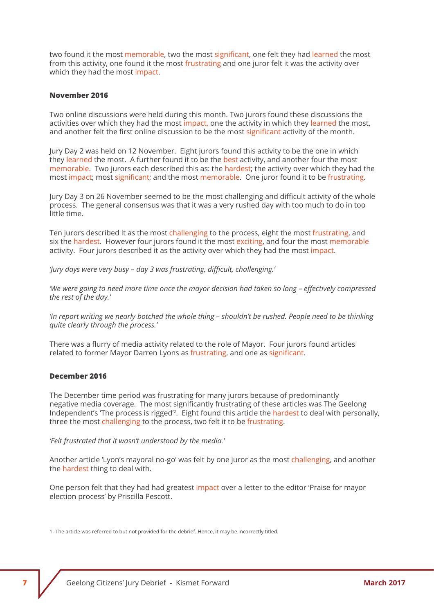two found it the most memorable, two the most significant, one felt they had learned the most from this activity, one found it the most frustrating and one juror felt it was the activity over which they had the most impact.

#### **November 2016**

Two online discussions were held during this month. Two jurors found these discussions the activities over which they had the most impact, one the activity in which they learned the most, and another felt the first online discussion to be the most significant activity of the month.

Jury Day 2 was held on 12 November. Eight jurors found this activity to be the one in which they learned the most. A further found it to be the best activity, and another four the most memorable. Two jurors each described this as: the hardest; the activity over which they had the most impact; most significant; and the most memorable. One juror found it to be frustrating.

Jury Day 3 on 26 November seemed to be the most challenging and difficult activity of the whole process. The general consensus was that it was a very rushed day with too much to do in too little time.

Ten jurors described it as the most challenging to the process, eight the most frustrating, and six the hardest. However four jurors found it the most exciting, and four the most memorable activity. Four jurors described it as the activity over which they had the most impact.

*'Jury days were very busy – day 3 was frustrating, difficult, challenging.'*

*'We were going to need more time once the mayor decision had taken so long – effectively compressed the rest of the day.'*

*'In report writing we nearly botched the whole thing – shouldn't be rushed. People need to be thinking quite clearly through the process.'*

There was a flurry of media activity related to the role of Mayor. Four jurors found articles related to former Mayor Darren Lyons as frustrating, and one as significant.

#### **December 2016**

The December time period was frustrating for many jurors because of predominantly negative media coverage. The most significantly frustrating of these articles was The Geelong Independent's 'The process is rigged'2. Eight found this article the hardest to deal with personally, three the most challenging to the process, two felt it to be frustrating.

*'Felt frustrated that it wasn't understood by the media.'*

Another article 'Lyon's mayoral no-go' was felt by one juror as the most challenging, and another the hardest thing to deal with.

One person felt that they had had greatest impact over a letter to the editor 'Praise for mayor election process' by Priscilla Pescott.

1- The article was referred to but not provided for the debrief. Hence, it may be incorrectly titled.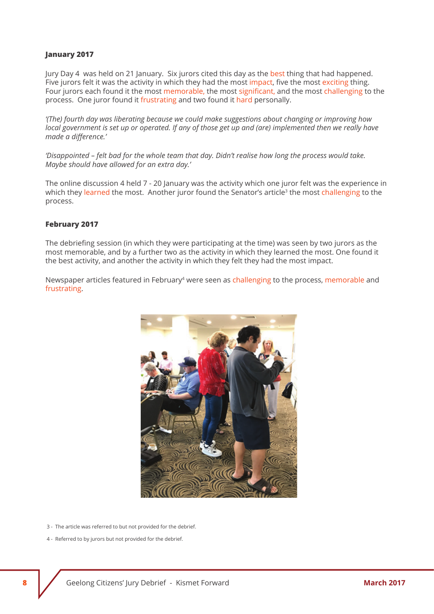#### **January 2017**

Jury Day 4 was held on 21 January. Six jurors cited this day as the best thing that had happened. Five jurors felt it was the activity in which they had the most impact, five the most exciting thing. Four jurors each found it the most memorable, the most significant, and the most challenging to the process. One juror found it frustrating and two found it hard personally.

*'(The) fourth day was liberating because we could make suggestions about changing or improving how local government is set up or operated. If any of those get up and (are) implemented then we really have made a difference.'*

*'Disappointed – felt bad for the whole team that day. Didn't realise how long the process would take. Maybe should have allowed for an extra day.'*

The online discussion 4 held 7 - 20 January was the activity which one juror felt was the experience in which they learned the most. Another juror found the Senator's article<sup>3</sup> the most challenging to the process.

#### **February 2017**

The debriefing session (in which they were participating at the time) was seen by two jurors as the most memorable, and by a further two as the activity in which they learned the most. One found it the best activity, and another the activity in which they felt they had the most impact.

Newspaper articles featured in February<sup>4</sup> were seen as challenging to the process, memorable and frustrating.



- 3 The article was referred to but not provided for the debrief.
- 4 Referred to by jurors but not provided for the debrief.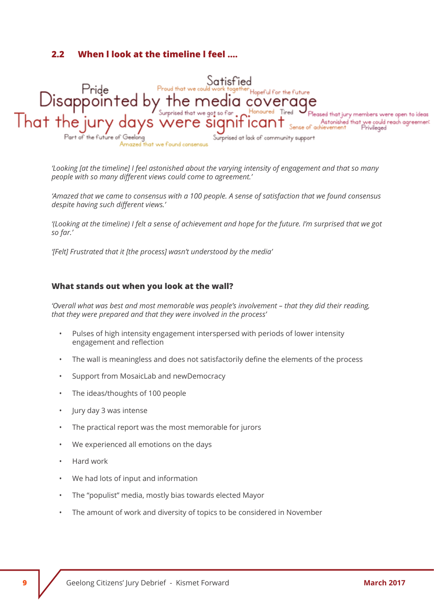#### **2.2 When l look at the timeline l feel ….**



*'Looking [at the timeline] I feel astonished about the varying intensity of engagement and that so many people with so many different views could come to agreement.'*

*'Amazed that we came to consensus with a 100 people. A sense of satisfaction that we found consensus despite having such different views.'* 

*'(Looking at the timeline) I felt a sense of achievement and hope for the future. I'm surprised that we got so far.'*

*'[Felt] Frustrated that it [the process] wasn't understood by the media'*

#### **What stands out when you look at the wall?**

*'Overall what was best and most memorable was people's involvement – that they did their reading, that they were prepared and that they were involved in the process'*

- Pulses of high intensity engagement interspersed with periods of lower intensity engagement and reflection
- The wall is meaningless and does not satisfactorily define the elements of the process
- Support from MosaicLab and newDemocracy
- The ideas/thoughts of 100 people
- Jury day 3 was intense
- The practical report was the most memorable for jurors
- We experienced all emotions on the days
- Hard work
- We had lots of input and information
- The "populist" media, mostly bias towards elected Mayor
- The amount of work and diversity of topics to be considered in November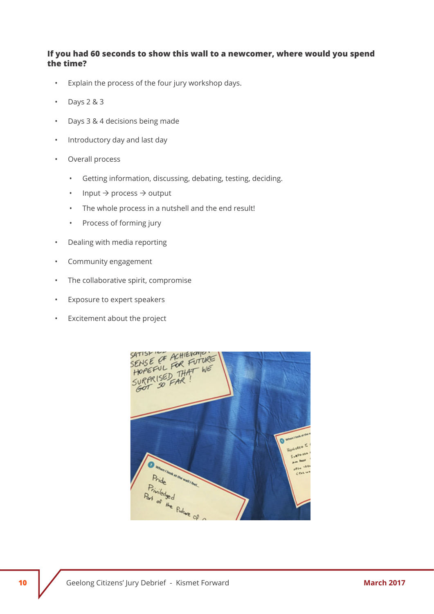#### **If you had 60 seconds to show this wall to a newcomer, where would you spend the time?**

- Explain the process of the four jury workshop days.
- $\cdot$  Days 2 & 3
- Days 3 & 4 decisions being made
- Introductory day and last day
- Overall process
	- Getting information, discussing, debating, testing, deciding.
	- Input  $\rightarrow$  process  $\rightarrow$  output
	- The whole process in a nutshell and the end result!
	- Process of forming jury
- Dealing with media reporting
- Community engagement
- The collaborative spirit, compromise
- Exposure to expert speakers
- Excitement about the project

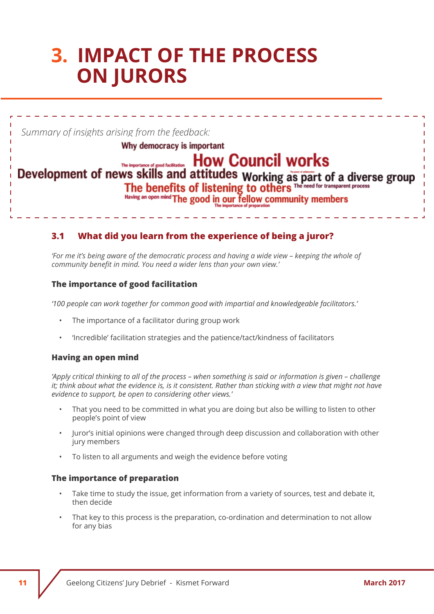### **3. Impact of the process on jurors**

*Summary of insights arising from the feedback:* 

#### Why democracy is important

### The importance of good facilitation. How Council works

#### Development of news skills and attitudes Working as part of a diverse group The benefits of listening to others The need for transparent process Having an open mind

he good in our fellow community members

#### **3.1 What did you learn from the experience of being a juror?**

*'For me it's being aware of the democratic process and having a wide view – keeping the whole of community benefit in mind. You need a wider lens than your own view.'*

#### **The importance of good facilitation**

*'100 people can work together for common good with impartial and knowledgeable facilitators.'* 

- The importance of a facilitator during group work
- 'Incredible' facilitation strategies and the patience/tact/kindness of facilitators

#### **Having an open mind**

*'Apply critical thinking to all of the process – when something is said or information is given – challenge it; think about what the evidence is, is it consistent. Rather than sticking with a view that might not have evidence to support, be open to considering other views.'*

- That you need to be committed in what you are doing but also be willing to listen to other people's point of view
- Juror's initial opinions were changed through deep discussion and collaboration with other jury members
- To listen to all arguments and weigh the evidence before voting

#### **The importance of preparation**

- Take time to study the issue, get information from a variety of sources, test and debate it, then decide
- That key to this process is the preparation, co-ordination and determination to not allow for any bias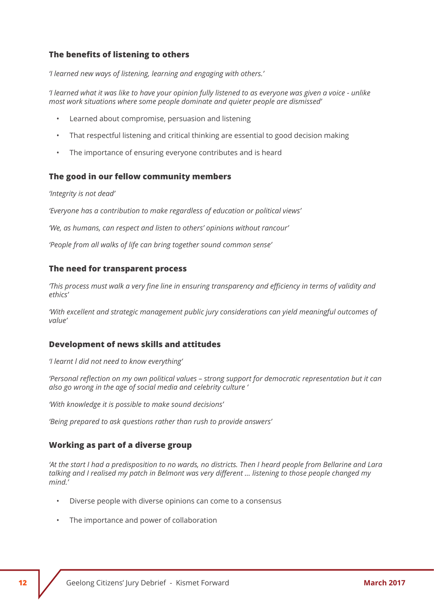#### **The benefits of listening to others**

*'I learned new ways of listening, learning and engaging with others.'*

*'I learned what it was like to have your opinion fully listened to as everyone was given a voice - unlike most work situations where some people dominate and quieter people are dismissed'*

- Learned about compromise, persuasion and listening
- That respectful listening and critical thinking are essential to good decision making
- The importance of ensuring everyone contributes and is heard

#### **The good in our fellow community members**

#### *'Integrity is not dead'*

*'Everyone has a contribution to make regardless of education or political views'*

*'We, as humans, can respect and listen to others' opinions without rancour'*

*'People from all walks of life can bring together sound common sense'*

#### **The need for transparent process**

*'This process must walk a very fine line in ensuring transparency and efficiency in terms of validity and ethics'*

*'With excellent and strategic management public jury considerations can yield meaningful outcomes of value'*

#### **Development of news skills and attitudes**

*'I learnt l did not need to know everything'*

*'Personal reflection on my own political values – strong support for democratic representation but it can also go wrong in the age of social media and celebrity culture '*

*'With knowledge it is possible to make sound decisions'* 

*'Being prepared to ask questions rather than rush to provide answers'*

#### **Working as part of a diverse group**

*'At the start I had a predisposition to no wards, no districts. Then I heard people from Bellarine and Lara talking and I realised my patch in Belmont was very different … listening to those people changed my mind.'*

- Diverse people with diverse opinions can come to a consensus
- The importance and power of collaboration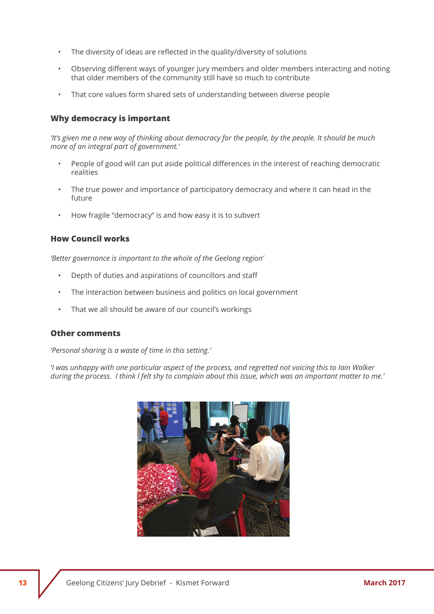- The diversity of ideas are reflected in the quality/diversity of solutions
- Observing different ways of younger jury members and older members interacting and noting that older members of the community still have so much to contribute
- That core values form shared sets of understanding between diverse people

#### **Why democracy is important**

*'It's given me a new way of thinking about democracy for the people, by the people. It should be much more of an integral part of government.'*

- People of good will can put aside political differences in the interest of reaching democratic realities
- The true power and importance of participatory democracy and where it can head in the future
- How fragile "democracy" is and how easy it is to subvert

#### **How Council works**

*'Better governance is important to the whole of the Geelong region'*

- Depth of duties and aspirations of councillors and staff
- The interaction between business and politics on local government
- That we all should be aware of our council's workings

#### **Other comments**

*'Personal sharing is a waste of time in this setting.'*

*'I was unhappy with one particular aspect of the process, and regretted not voicing this to Iain Walker during the process. I think l felt shy to complain about this issue, which was an important matter to me.'*

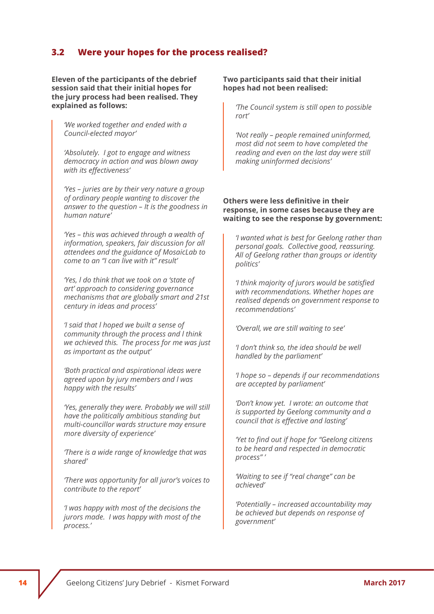#### **3.2 Were your hopes for the process realised?**

**Eleven of the participants of the debrief session said that their initial hopes for the jury process had been realised. They explained as follows:**

*'We worked together and ended with a Council-elected mayor'* 

*'Absolutely. I got to engage and witness democracy in action and was blown away with its effectiveness'*

*'Yes – juries are by their very nature a group of ordinary people wanting to discover the answer to the question – It is the goodness in human nature'*

*'Yes – this was achieved through a wealth of information, speakers, fair discussion for all attendees and the guidance of MosaicLab to come to an "I can live with it" result'*

*'Yes, l do think that we took on a 'state of art' approach to considering governance mechanisms that are globally smart and 21st century in ideas and process'*

*'I said that l hoped we built a sense of community through the process and l think we achieved this. The process for me was just as important as the output'*

*'Both practical and aspirational ideas were agreed upon by jury members and l was happy with the results'*

*'Yes, generally they were. Probably we will still have the politically ambitious standing but multi-councillor wards structure may ensure more diversity of experience'*

*'There is a wide range of knowledge that was shared'* 

*'There was opportunity for all juror's voices to contribute to the report'*

*'I was happy with most of the decisions the jurors made. I was happy with most of the process.'*

#### **Two participants said that their initial hopes had not been realised:**

*'The Council system is still open to possible rort'* 

*'Not really – people remained uninformed, most did not seem to have completed the reading and even on the last day were still making uninformed decisions'*

#### **Others were less definitive in their response, in some cases because they are waiting to see the response by government:**

*'I wanted what is best for Geelong rather than personal goals. Collective good, reassuring. All of Geelong rather than groups or identity politics'*

*'I think majority of jurors would be satisfied with recommendations. Whether hopes are realised depends on government response to recommendations'*

*'Overall, we are still waiting to see'*

*'I don't think so, the idea should be well handled by the parliament'*

*'I hope so – depends if our recommendations are accepted by parliament'*

*'Don't know yet. I wrote: an outcome that is supported by Geelong community and a council that is effective and lasting'*

*'Yet to find out if hope for "Geelong citizens to be heard and respected in democratic process" '*

*'Waiting to see if "real change" can be achieved'*

*'Potentially – increased accountability may be achieved but depends on response of government'*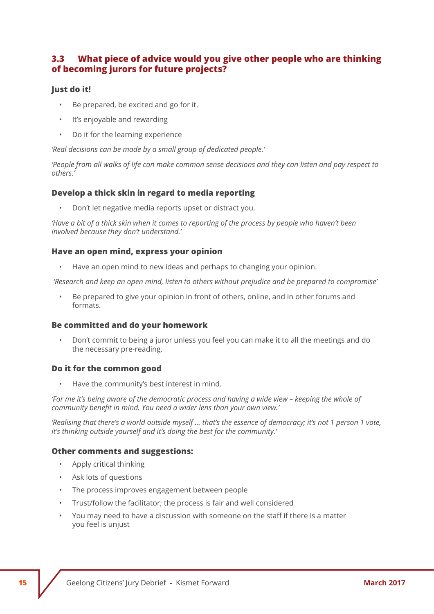#### **3.3 What piece of advice would you give other people who are thinking of becoming jurors for future projects?**

#### **Just do it!**

- Be prepared, be excited and go for it.
- It's enjoyable and rewarding
- Do it for the learning experience

*'Real decisions can be made by a small group of dedicated people.'*

*'People from all walks of life can make common sense decisions and they can listen and pay respect to others.'*

#### **Develop a thick skin in regard to media reporting**

• Don't let negative media reports upset or distract you.

*'Have a bit of a thick skin when it comes to reporting of the process by people who haven't been involved because they don't understand.'*

#### **Have an open mind, express your opinion**

• Have an open mind to new ideas and perhaps to changing your opinion.

 *'Research and keep an open mind, listen to others without prejudice and be prepared to compromise'*

• Be prepared to give your opinion in front of others, online, and in other forums and formats.

#### **Be committed and do your homework**

• Don't commit to being a juror unless you feel you can make it to all the meetings and do the necessary pre-reading.

#### **Do it for the common good**

• Have the community's best interest in mind.

*'For me it's being aware of the democratic process and having a wide view – keeping the whole of community benefit in mind. You need a wider lens than your own view.'*

*'Realising that there's a world outside myself … that's the essence of democracy; it's not 1 person 1 vote, it's thinking outside yourself and it's doing the best for the community.'*

#### **Other comments and suggestions:**

- Apply critical thinking
- Ask lots of questions
- The process improves engagement between people
- Trust/follow the facilitator; the process is fair and well considered
- You may need to have a discussion with someone on the staff if there is a matter you feel is unjust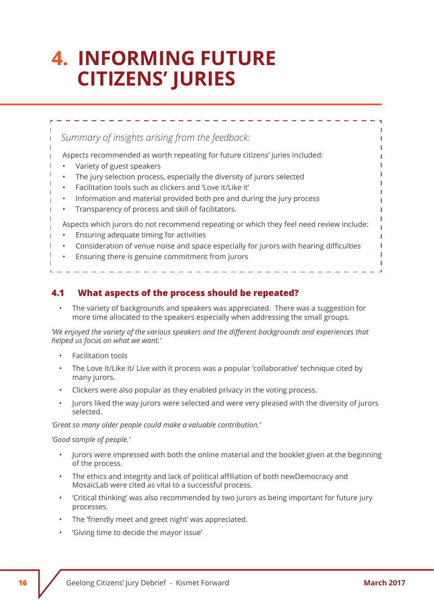## **4. Informing future Citizens' Juries**

*Summary of insights arising from the feedback:* 

- Aspects recommended as worth repeating for future citizens' juries included:
- Variety of guest speakers
- The jury selection process, especially the diversity of jurors selected
- Facilitation tools such as clickers and 'Love it/Like it'
- Information and material provided both pre and during the jury process
- Transparency of process and skill of facilitators.

Aspects which jurors do not recommend repeating or which they feel need review include:

- Ensuring adequate timing for activities
- Consideration of venue noise and space especially for jurors with hearing difficulties
- Ensuring there is genuine commitment from jurors

**4.1 What aspects of the process should be repeated?**

• The variety of backgrounds and speakers was appreciated. There was a suggestion for more time allocated to the speakers especially when addressing the small groups.

*'We enjoyed the variety of the various speakers and the different backgrounds and experiences that helped us focus on what we want.'*

- Facilitation tools
- The Love It/Like It/ Live with it process was a popular 'collaborative' technique cited by many jurors.
- Clickers were also popular as they enabled privacy in the voting process.
- Jurors liked the way jurors were selected and were very pleased with the diversity of jurors selected.

*'Great so many older people could make a valuable contribution.'*

#### *'Good sample of people.'*

- Jurors were impressed with both the online material and the booklet given at the beginning of the process.
- The ethics and integrity and lack of political affiliation of both newDemocracy and MosaicLab were cited as vital to a successful process.
- 'Critical thinking' was also recommended by two jurors as being important for future jury processes.
- The 'friendly meet and greet night' was appreciated.
- 'Giving time to decide the mayor issue'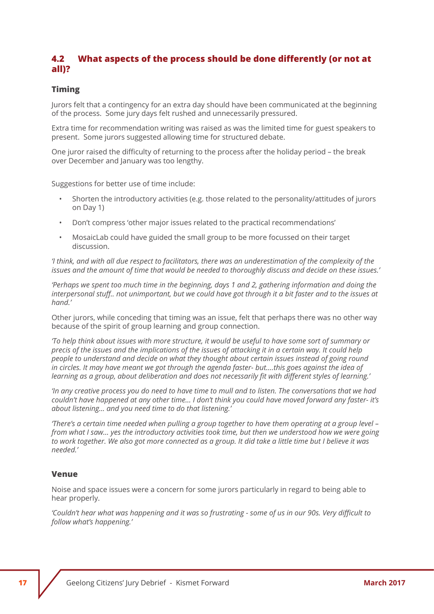#### **4.2 What aspects of the process should be done differently (or not at all)?**

#### **Timing**

Jurors felt that a contingency for an extra day should have been communicated at the beginning of the process. Some jury days felt rushed and unnecessarily pressured.

Extra time for recommendation writing was raised as was the limited time for guest speakers to present. Some jurors suggested allowing time for structured debate.

One juror raised the difficulty of returning to the process after the holiday period – the break over December and January was too lengthy.

Suggestions for better use of time include:

- Shorten the introductory activities (e.g. those related to the personality/attitudes of jurors on Day 1)
- Don't compress 'other major issues related to the practical recommendations'
- MosaicLab could have guided the small group to be more focussed on their target discussion.

*'I think, and with all due respect to facilitators, there was an underestimation of the complexity of the issues and the amount of time that would be needed to thoroughly discuss and decide on these issues.'*

*'Perhaps we spent too much time in the beginning, days 1 and 2, gathering information and doing the interpersonal stuff.. not unimportant, but we could have got through it a bit faster and to the issues at hand.'*

Other jurors, while conceding that timing was an issue, felt that perhaps there was no other way because of the spirit of group learning and group connection.

*'To help think about issues with more structure, it would be useful to have some sort of summary or precis of the issues and the implications of the issues of attacking it in a certain way. It could help people to understand and decide on what they thought about certain issues instead of going round in circles. It may have meant we got through the agenda faster- but….this goes against the idea of learning as a group, about deliberation and does not necessarily fit with different styles of learning.'*

*'In any creative process you do need to have time to mull and to listen. The conversations that we had couldn't have happened at any other time… I don't think you could have moved forward any faster- it's about listening… and you need time to do that listening.'*

*'There's a certain time needed when pulling a group together to have them operating at a group level – from what I saw… yes the introductory activities took time, but then we understood how we were going to work together. We also got more connected as a group. It did take a little time but I believe it was needed.'*

#### **Venue**

Noise and space issues were a concern for some jurors particularly in regard to being able to hear properly.

*'Couldn't hear what was happening and it was so frustrating - some of us in our 90s. Very difficult to follow what's happening.'*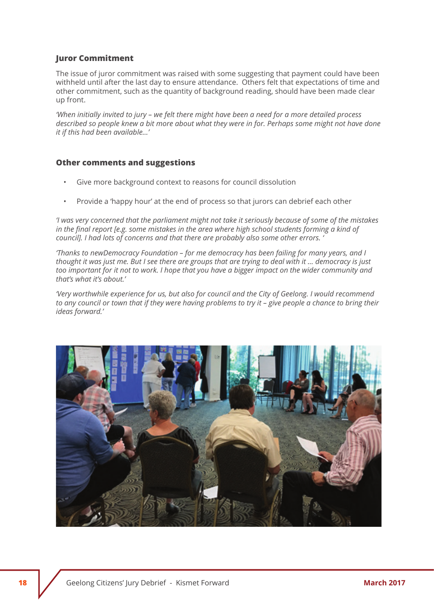#### **Juror Commitment**

The issue of juror commitment was raised with some suggesting that payment could have been withheld until after the last day to ensure attendance. Others felt that expectations of time and other commitment, such as the quantity of background reading, should have been made clear up front.

*'When initially invited to jury – we felt there might have been a need for a more detailed process described so people knew a bit more about what they were in for. Perhaps some might not have done it if this had been available…'*

#### **Other comments and suggestions**

- Give more background context to reasons for council dissolution
- Provide a 'happy hour' at the end of process so that jurors can debrief each other

*'I was very concerned that the parliament might not take it seriously because of some of the mistakes in the final report [e.g. some mistakes in the area where high school students forming a kind of council]. I had lots of concerns and that there are probably also some other errors. '*

*'Thanks to newDemocracy Foundation – for me democracy has been failing for many years, and I thought it was just me. But I see there are groups that are trying to deal with it … democracy is just*  too important for it not to work. I hope that you have a bigger impact on the wider community and *that's what it's about.'*

*'Very worthwhile experience for us, but also for council and the City of Geelong. I would recommend to any council or town that if they were having problems to try it – give people a chance to bring their ideas forward.'*